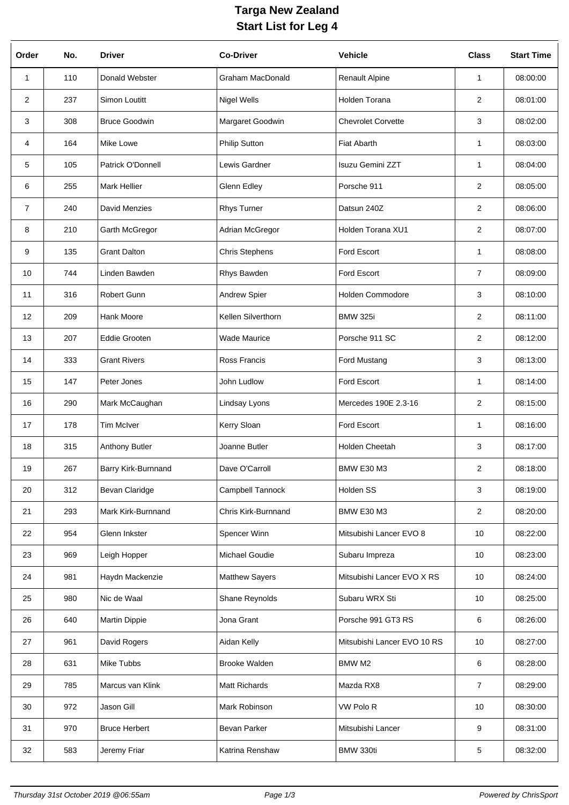## **Targa New Zealand Start List for Leg 4**

| Order          | No. | <b>Driver</b>        | <b>Co-Driver</b>        | Vehicle                     | <b>Class</b>    | <b>Start Time</b> |
|----------------|-----|----------------------|-------------------------|-----------------------------|-----------------|-------------------|
| $\mathbf{1}$   | 110 | Donald Webster       | <b>Graham MacDonald</b> | <b>Renault Alpine</b>       | $\mathbf{1}$    | 08:00:00          |
| $\overline{2}$ | 237 | Simon Loutitt        | <b>Nigel Wells</b>      | Holden Torana               | $\overline{2}$  | 08:01:00          |
| 3              | 308 | <b>Bruce Goodwin</b> | Margaret Goodwin        | <b>Chevrolet Corvette</b>   | 3               | 08:02:00          |
| 4              | 164 | Mike Lowe            | Philip Sutton           | <b>Fiat Abarth</b>          | 1               | 08:03:00          |
| 5              | 105 | Patrick O'Donnell    | Lewis Gardner           | Isuzu Gemini ZZT            | 1               | 08:04:00          |
| 6              | 255 | <b>Mark Hellier</b>  | Glenn Edley             | Porsche 911                 | 2               | 08:05:00          |
| $\overline{7}$ | 240 | David Menzies        | <b>Rhys Turner</b>      | Datsun 240Z                 | $\overline{2}$  | 08:06:00          |
| 8              | 210 | Garth McGregor       | Adrian McGregor         | Holden Torana XU1           | $\overline{2}$  | 08:07:00          |
| 9              | 135 | <b>Grant Dalton</b>  | <b>Chris Stephens</b>   | Ford Escort                 | 1               | 08:08:00          |
| 10             | 744 | Linden Bawden        | Rhys Bawden             | Ford Escort                 | $\overline{7}$  | 08:09:00          |
| 11             | 316 | <b>Robert Gunn</b>   | Andrew Spier            | <b>Holden Commodore</b>     | 3               | 08:10:00          |
| 12             | 209 | Hank Moore           | Kellen Silverthorn      | <b>BMW 325i</b>             | $\overline{2}$  | 08:11:00          |
| 13             | 207 | <b>Eddie Grooten</b> | <b>Wade Maurice</b>     | Porsche 911 SC              | $\overline{2}$  | 08:12:00          |
| 14             | 333 | <b>Grant Rivers</b>  | Ross Francis            | Ford Mustang                | 3               | 08:13:00          |
| 15             | 147 | Peter Jones          | John Ludlow             | Ford Escort                 | $\mathbf{1}$    | 08:14:00          |
| 16             | 290 | Mark McCaughan       | Lindsay Lyons           | Mercedes 190E 2.3-16        | $\overline{2}$  | 08:15:00          |
| 17             | 178 | <b>Tim McIver</b>    | Kerry Sloan             | Ford Escort                 | $\mathbf 1$     | 08:16:00          |
| 18             | 315 | Anthony Butler       | Joanne Butler           | <b>Holden Cheetah</b>       | 3               | 08:17:00          |
| 19             | 267 | Barry Kirk-Burnnand  | Dave O'Carroll          | <b>BMW E30 M3</b>           | $\overline{2}$  | 08:18:00          |
| 20             | 312 | Bevan Claridge       | Campbell Tannock        | Holden SS                   | 3               | 08:19:00          |
| 21             | 293 | Mark Kirk-Burnnand   | Chris Kirk-Burnnand     | <b>BMW E30 M3</b>           | $\overline{2}$  | 08:20:00          |
| 22             | 954 | Glenn Inkster        | Spencer Winn            | Mitsubishi Lancer EVO 8     | 10              | 08:22:00          |
| 23             | 969 | Leigh Hopper         | Michael Goudie          | Subaru Impreza              | 10              | 08:23:00          |
| 24             | 981 | Haydn Mackenzie      | <b>Matthew Sayers</b>   | Mitsubishi Lancer EVO X RS  | 10 <sup>1</sup> | 08:24:00          |
| 25             | 980 | Nic de Waal          | Shane Reynolds          | Subaru WRX Sti              | 10 <sup>1</sup> | 08:25:00          |
| 26             | 640 | <b>Martin Dippie</b> | Jona Grant              | Porsche 991 GT3 RS          | 6               | 08:26:00          |
| 27             | 961 | David Rogers         | Aidan Kelly             | Mitsubishi Lancer EVO 10 RS | 10              | 08:27:00          |
| 28             | 631 | Mike Tubbs           | <b>Brooke Walden</b>    | BMW M2                      | 6               | 08:28:00          |
| 29             | 785 | Marcus van Klink     | Matt Richards           | Mazda RX8                   | $\overline{7}$  | 08:29:00          |
| 30             | 972 | Jason Gill           | Mark Robinson           | VW Polo R                   | 10              | 08:30:00          |
| 31             | 970 | <b>Bruce Herbert</b> | Bevan Parker            | Mitsubishi Lancer           | 9               | 08:31:00          |
| 32             | 583 | Jeremy Friar         | Katrina Renshaw         | BMW 330ti                   | 5               | 08:32:00          |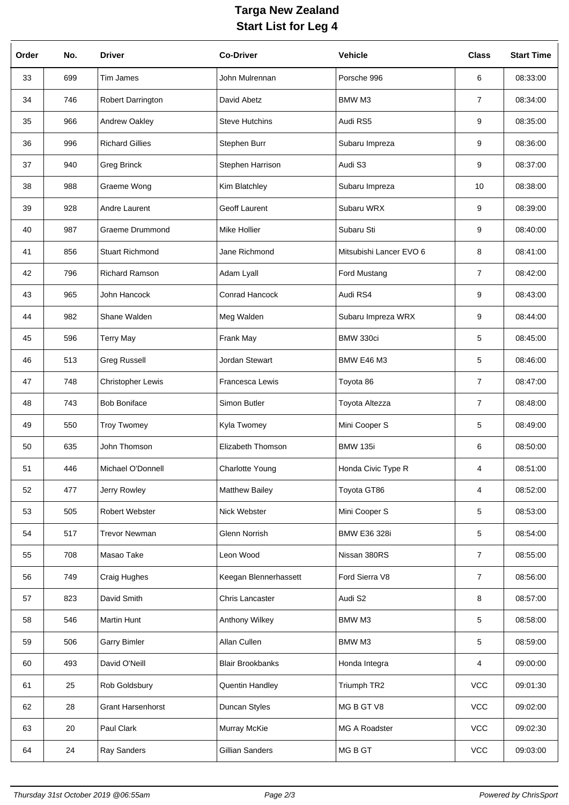## **Targa New Zealand Start List for Leg 4**

| Order | No. | <b>Driver</b>            | <b>Co-Driver</b>        | <b>Vehicle</b>          | <b>Class</b>   | <b>Start Time</b> |
|-------|-----|--------------------------|-------------------------|-------------------------|----------------|-------------------|
| 33    | 699 | Tim James                | John Mulrennan          | Porsche 996             | 6              | 08:33:00          |
| 34    | 746 | Robert Darrington        | David Abetz             | BMW M3                  | 7              | 08:34:00          |
| 35    | 966 | Andrew Oakley            | <b>Steve Hutchins</b>   | Audi RS5                | 9              | 08:35:00          |
| 36    | 996 | <b>Richard Gillies</b>   | Stephen Burr            | Subaru Impreza          | 9              | 08:36:00          |
| 37    | 940 | <b>Greg Brinck</b>       | Stephen Harrison        | Audi S3                 | 9              | 08:37:00          |
| 38    | 988 | Graeme Wong              | Kim Blatchley           | Subaru Impreza          | 10             | 08:38:00          |
| 39    | 928 | Andre Laurent            | Geoff Laurent           | Subaru WRX              | 9              | 08:39:00          |
| 40    | 987 | <b>Graeme Drummond</b>   | Mike Hollier            | Subaru Sti              | 9              | 08:40:00          |
| 41    | 856 | <b>Stuart Richmond</b>   | Jane Richmond           | Mitsubishi Lancer EVO 6 | 8              | 08:41:00          |
| 42    | 796 | Richard Ramson           | Adam Lyall              | <b>Ford Mustang</b>     | 7              | 08:42:00          |
| 43    | 965 | John Hancock             | Conrad Hancock          | Audi RS4                | 9              | 08:43:00          |
| 44    | 982 | Shane Walden             | Meg Walden              | Subaru Impreza WRX      | 9              | 08:44:00          |
| 45    | 596 | <b>Terry May</b>         | Frank May               | BMW 330ci               | 5              | 08:45:00          |
| 46    | 513 | <b>Greg Russell</b>      | Jordan Stewart          | <b>BMW E46 M3</b>       | 5              | 08:46:00          |
| 47    | 748 | <b>Christopher Lewis</b> | Francesca Lewis         | Toyota 86               | $\overline{7}$ | 08:47:00          |
| 48    | 743 | <b>Bob Boniface</b>      | Simon Butler            | Toyota Altezza          | $\overline{7}$ | 08:48:00          |
| 49    | 550 | <b>Troy Twomey</b>       | Kyla Twomey             | Mini Cooper S           | 5              | 08:49:00          |
| 50    | 635 | John Thomson             | Elizabeth Thomson       | <b>BMW 135i</b>         | 6              | 08:50:00          |
| 51    | 446 | Michael O'Donnell        | <b>Charlotte Young</b>  | Honda Civic Type R      | 4              | 08:51:00          |
| 52    | 477 | Jerry Rowley             | <b>Matthew Bailey</b>   | Toyota GT86             | 4              | 08:52:00          |
| 53    | 505 | Robert Webster           | Nick Webster            | Mini Cooper S           | 5              | 08:53:00          |
| 54    | 517 | <b>Trevor Newman</b>     | Glenn Norrish           | <b>BMW E36 328i</b>     | 5              | 08:54:00          |
| 55    | 708 | Masao Take               | Leon Wood               | Nissan 380RS            | 7              | 08:55:00          |
| 56    | 749 | Craig Hughes             | Keegan Blennerhassett   | Ford Sierra V8          | $\overline{7}$ | 08:56:00          |
| 57    | 823 | David Smith              | Chris Lancaster         | Audi S2                 | 8              | 08:57:00          |
| 58    | 546 | <b>Martin Hunt</b>       | Anthony Wilkey          | BMW M3                  | 5              | 08:58:00          |
| 59    | 506 | <b>Garry Bimler</b>      | Allan Cullen            | BMW M3                  | 5              | 08:59:00          |
| 60    | 493 | David O'Neill            | <b>Blair Brookbanks</b> | Honda Integra           | 4              | 09:00:00          |
| 61    | 25  | Rob Goldsbury            | Quentin Handley         | Triumph TR2             | <b>VCC</b>     | 09:01:30          |
| 62    | 28  | <b>Grant Harsenhorst</b> | Duncan Styles           | MG B GT V8              | VCC            | 09:02:00          |
| 63    | 20  | Paul Clark               | Murray McKie            | MG A Roadster           | <b>VCC</b>     | 09:02:30          |
| 64    | 24  | Ray Sanders              | Gillian Sanders         | MG B GT                 | VCC            | 09:03:00          |